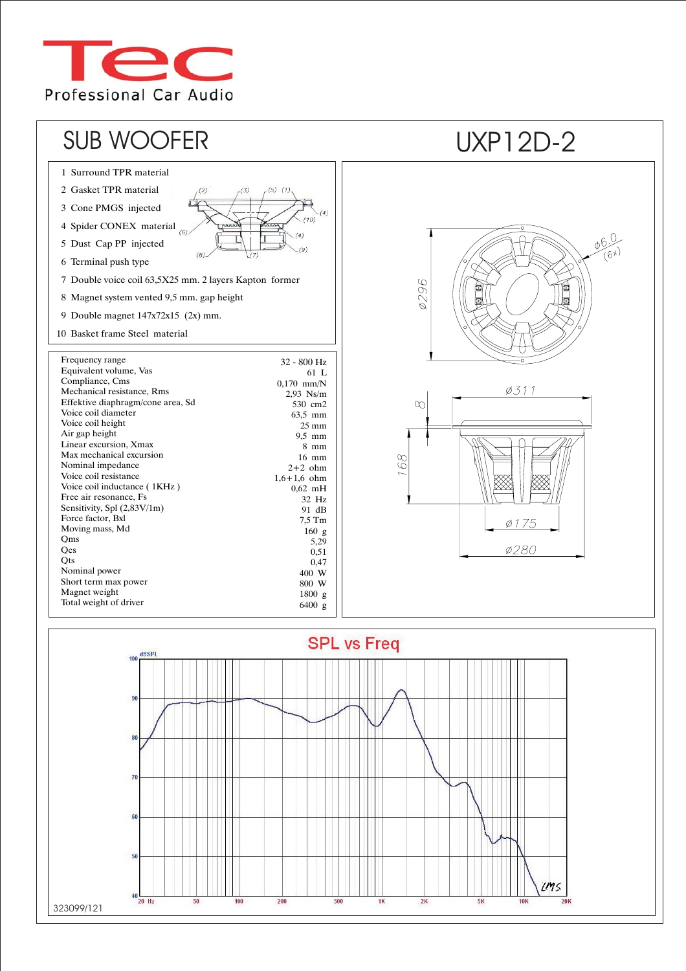



323099/121